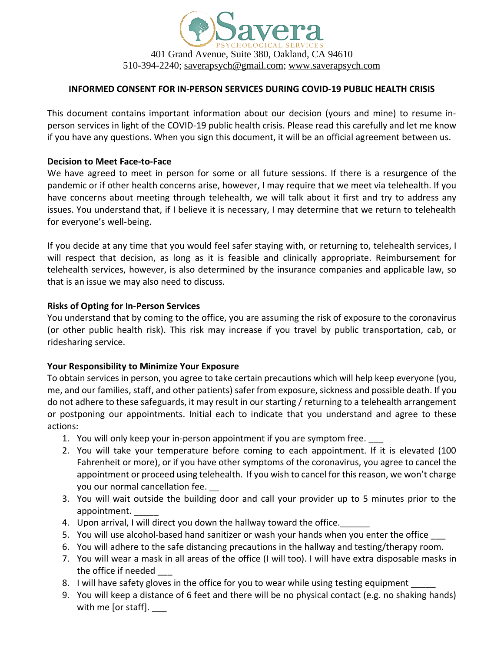

### **INFORMED CONSENT FOR IN-PERSON SERVICES DURING COVID-19 PUBLIC HEALTH CRISIS**

This document contains important information about our decision (yours and mine) to resume inperson services in light of the COVID-19 public health crisis. Please read this carefully and let me know if you have any questions. When you sign this document, it will be an official agreement between us.

#### **Decision to Meet Face-to-Face**

We have agreed to meet in person for some or all future sessions. If there is a resurgence of the pandemic or if other health concerns arise, however, I may require that we meet via telehealth. If you have concerns about meeting through telehealth, we will talk about it first and try to address any issues. You understand that, if I believe it is necessary, I may determine that we return to telehealth for everyone's well-being.

If you decide at any time that you would feel safer staying with, or returning to, telehealth services, I will respect that decision, as long as it is feasible and clinically appropriate. Reimbursement for telehealth services, however, is also determined by the insurance companies and applicable law, so that is an issue we may also need to discuss.

#### **Risks of Opting for In-Person Services**

You understand that by coming to the office, you are assuming the risk of exposure to the coronavirus (or other public health risk). This risk may increase if you travel by public transportation, cab, or ridesharing service.

### **Your Responsibility to Minimize Your Exposure**

To obtain services in person, you agree to take certain precautions which will help keep everyone (you, me, and our families, staff, and other patients) safer from exposure, sickness and possible death. If you do not adhere to these safeguards, it may result in our starting / returning to a telehealth arrangement or postponing our appointments. Initial each to indicate that you understand and agree to these actions:

- 1. You will only keep your in-person appointment if you are symptom free.
- 2. You will take your temperature before coming to each appointment. If it is elevated (100 Fahrenheit or more), or if you have other symptoms of the coronavirus, you agree to cancel the appointment or proceed using telehealth. If you wish to cancel for this reason, we won't charge you our normal cancellation fee.
- 3. You will wait outside the building door and call your provider up to 5 minutes prior to the appointment.
- 4. Upon arrival, I will direct you down the hallway toward the office.
- 5. You will use alcohol-based hand sanitizer or wash your hands when you enter the office
- 6. You will adhere to the safe distancing precautions in the hallway and testing/therapy room.
- 7. You will wear a mask in all areas of the office (I will too). I will have extra disposable masks in the office if needed
- 8. I will have safety gloves in the office for you to wear while using testing equipment
- 9. You will keep a distance of 6 feet and there will be no physical contact (e.g. no shaking hands) with me [or staff].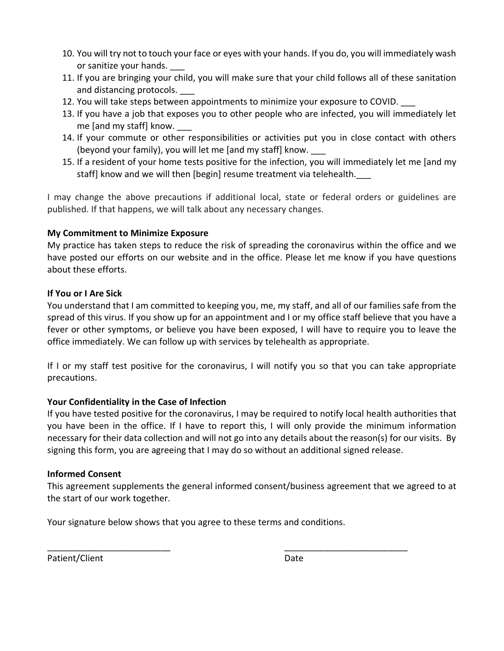- 10. You will try not to touch your face or eyes with your hands. If you do, you will immediately wash or sanitize your hands.
- 11. If you are bringing your child, you will make sure that your child follows all of these sanitation and distancing protocols.
- 12. You will take steps between appointments to minimize your exposure to COVID. \_\_\_
- 13. If you have a job that exposes you to other people who are infected, you will immediately let me [and my staff] know.
- 14. If your commute or other responsibilities or activities put you in close contact with others (beyond your family), you will let me [and my staff] know. \_\_\_
- 15. If a resident of your home tests positive for the infection, you will immediately let me [and my staff] know and we will then [begin] resume treatment via telehealth.\_\_\_

I may change the above precautions if additional local, state or federal orders or guidelines are published. If that happens, we will talk about any necessary changes.

## **My Commitment to Minimize Exposure**

My practice has taken steps to reduce the risk of spreading the coronavirus within the office and we have posted our efforts on our website and in the office. Please let me know if you have questions about these efforts.

## **If You or I Are Sick**

You understand that I am committed to keeping you, me, my staff, and all of our families safe from the spread of this virus. If you show up for an appointment and I or my office staff believe that you have a fever or other symptoms, or believe you have been exposed, I will have to require you to leave the office immediately. We can follow up with services by telehealth as appropriate.

If I or my staff test positive for the coronavirus, I will notify you so that you can take appropriate precautions.

# **Your Confidentiality in the Case of Infection**

If you have tested positive for the coronavirus, I may be required to notify local health authorities that you have been in the office. If I have to report this, I will only provide the minimum information necessary for their data collection and will not go into any details about the reason(s) for our visits. By signing this form, you are agreeing that I may do so without an additional signed release.

# **Informed Consent**

This agreement supplements the general informed consent/business agreement that we agreed to at the start of our work together.

Your signature below shows that you agree to these terms and conditions.

\_\_\_\_\_\_\_\_\_\_\_\_\_\_\_\_\_\_\_\_\_\_\_\_\_ \_\_\_\_\_\_\_\_\_\_\_\_\_\_\_\_\_\_\_\_\_\_\_\_\_

Patient/Client Date